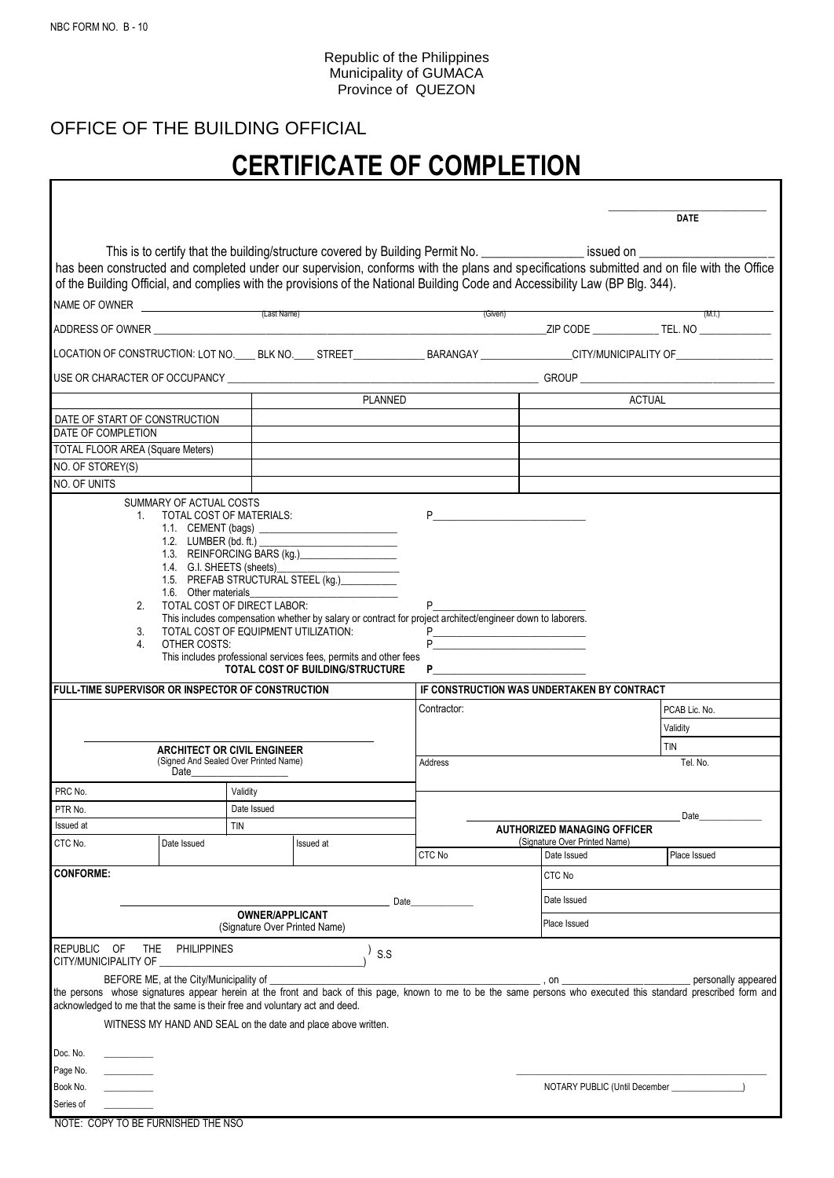Г

## Republic of the Philippines Municipality of GUMACA Province of QUEZON

## OFFICE OF THE BUILDING OFFICIAL

## **CERTIFICATE OF COMPLETION**

٦

|                                                                            |                                                                                                         |                                                         |                                                                                                                                                                                                                          |                             |         |                                              | <b>DATE</b>                                                                                                                                                      |
|----------------------------------------------------------------------------|---------------------------------------------------------------------------------------------------------|---------------------------------------------------------|--------------------------------------------------------------------------------------------------------------------------------------------------------------------------------------------------------------------------|-----------------------------|---------|----------------------------------------------|------------------------------------------------------------------------------------------------------------------------------------------------------------------|
|                                                                            |                                                                                                         |                                                         | This is to certify that the building/structure covered by Building Permit No. ________________ issued on _________                                                                                                       |                             |         |                                              |                                                                                                                                                                  |
|                                                                            |                                                                                                         |                                                         | of the Building Official, and complies with the provisions of the National Building Code and Accessibility Law (BP Blg. 344).                                                                                            |                             |         |                                              | has been constructed and completed under our supervision, conforms with the plans and specifications submitted and on file with the Office                       |
|                                                                            |                                                                                                         |                                                         | NAME OF OWNER<br>(Last Name)                                                                                                                                                                                             |                             |         |                                              |                                                                                                                                                                  |
|                                                                            |                                                                                                         |                                                         |                                                                                                                                                                                                                          |                             | (Given) |                                              | (M,I)                                                                                                                                                            |
|                                                                            |                                                                                                         |                                                         |                                                                                                                                                                                                                          |                             |         |                                              | LOCATION OF CONSTRUCTION: LOT NO. LE BLK NO. LE STREET BARANGAY ARRANGAY LATER CITY/MUNICIPALITY OF LATER LATER                                                  |
|                                                                            |                                                                                                         |                                                         |                                                                                                                                                                                                                          |                             |         |                                              |                                                                                                                                                                  |
|                                                                            |                                                                                                         |                                                         |                                                                                                                                                                                                                          | <b>PLANNED</b>              |         |                                              | <b>ACTUAL</b>                                                                                                                                                    |
| DATE OF START OF CONSTRUCTION<br>DATE OF COMPLETION                        |                                                                                                         |                                                         |                                                                                                                                                                                                                          |                             |         |                                              |                                                                                                                                                                  |
| TOTAL FLOOR AREA (Square Meters)                                           |                                                                                                         |                                                         |                                                                                                                                                                                                                          |                             |         |                                              |                                                                                                                                                                  |
| NO. OF STOREY(S)                                                           |                                                                                                         |                                                         |                                                                                                                                                                                                                          |                             |         |                                              |                                                                                                                                                                  |
| NO. OF UNITS                                                               |                                                                                                         |                                                         |                                                                                                                                                                                                                          |                             |         |                                              |                                                                                                                                                                  |
|                                                                            | 1.6. Other materials<br>TOTAL COST OF DIRECT LABOR:<br>2.                                               |                                                         | 1.1. CEMENT (bags) $\qquad \qquad$<br>1.3. REINFORCING BARS (kg.)<br>1.5. PREFAB STRUCTURAL STEEL (kg.)                                                                                                                  | P                           |         |                                              |                                                                                                                                                                  |
| FULL-TIME SUPERVISOR OR INSPECTOR OF CONSTRUCTION                          | 3.<br>4.<br>OTHER COSTS:<br><b>ARCHITECT OR CIVIL ENGINEER</b><br>(Signed And Sealed Over Printed Name) | TOTAL COST OF EQUIPMENT UTILIZATION:                    | This includes compensation whether by salary or contract for project architect/engineer down to laborers.<br>This includes professional services fees, permits and other fees<br><b>TOTAL COST OF BUILDING/STRUCTURE</b> | $P_{-}$<br>P<br>Contractor: |         | IF CONSTRUCTION WAS UNDERTAKEN BY CONTRACT   | PCAB Lic. No.<br>Validity<br><b>TIN</b>                                                                                                                          |
|                                                                            | Date                                                                                                    |                                                         |                                                                                                                                                                                                                          | Address                     |         |                                              | Tel. No.                                                                                                                                                         |
| PRC No.                                                                    |                                                                                                         | Validity                                                |                                                                                                                                                                                                                          |                             |         |                                              |                                                                                                                                                                  |
| PTR No.                                                                    |                                                                                                         | Date Issued                                             |                                                                                                                                                                                                                          |                             |         |                                              | Date                                                                                                                                                             |
| Issued at                                                                  |                                                                                                         | TIN                                                     |                                                                                                                                                                                                                          |                             |         | <b>AUTHORIZED MANAGING OFFICER</b>           |                                                                                                                                                                  |
| CTC No.                                                                    | Date Issued                                                                                             |                                                         | <b>Issued</b> at                                                                                                                                                                                                         | CTC No                      |         | (Signature Over Printed Name)<br>Date Issued | Place Issued                                                                                                                                                     |
| <b>CONFORME:</b>                                                           |                                                                                                         |                                                         |                                                                                                                                                                                                                          |                             |         | CTC No                                       |                                                                                                                                                                  |
|                                                                            |                                                                                                         |                                                         |                                                                                                                                                                                                                          | Date                        |         | Date Issued                                  |                                                                                                                                                                  |
|                                                                            |                                                                                                         | <b>OWNER/APPLICANT</b><br>(Signature Over Printed Name) |                                                                                                                                                                                                                          |                             |         | Place Issued                                 |                                                                                                                                                                  |
| <b>REPUBLIC</b><br><b>OF</b><br>CITY/MUNICIPALITY OF                       | <b>THE</b><br>PHILIPPINES                                                                               |                                                         | S.S                                                                                                                                                                                                                      |                             |         |                                              |                                                                                                                                                                  |
|                                                                            | BEFORE ME, at the City/Municipality of ___                                                              |                                                         |                                                                                                                                                                                                                          |                             |         | , on $\qquad \qquad$                         | personally appeared                                                                                                                                              |
| acknowledged to me that the same is their free and voluntary act and deed. |                                                                                                         |                                                         |                                                                                                                                                                                                                          |                             |         |                                              | the persons whose signatures appear herein at the front and back of this page, known to me to be the same persons who executed this standard prescribed form and |
|                                                                            |                                                                                                         |                                                         | WITNESS MY HAND AND SEAL on the date and place above written.                                                                                                                                                            |                             |         |                                              |                                                                                                                                                                  |
| Doc. No.                                                                   |                                                                                                         |                                                         |                                                                                                                                                                                                                          |                             |         |                                              |                                                                                                                                                                  |
| Page No.                                                                   |                                                                                                         |                                                         |                                                                                                                                                                                                                          |                             |         |                                              |                                                                                                                                                                  |
| Book No.                                                                   |                                                                                                         |                                                         |                                                                                                                                                                                                                          |                             |         |                                              | NOTARY PUBLIC (Until December ______________                                                                                                                     |